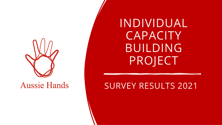

**Aussie Hands** 

INDIVIDUAL **CAPACITY** BUILDING PROJECT

#### SURVEY RESULTS 2021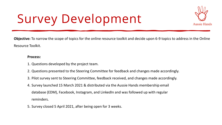### Survey Development



**Objective:** To narrow the scope of topics for the online resource toolkit and decide upon 6-9 topics to address in the Online Resource Toolkit.

#### **Process:**

- 1. Questions developed by the project team.
- 2. Questions presented to the Steering Committee for feedback and changes made accordingly.
- 3. Pilot survey sent to Steering Committee, feedback received, and changes made accordingly.
- 4. Survey launched 15 March 2021 & distributed via the Aussie Hands membership email database (EDM), Facebook, Instagram, and LinkedIn and was followed up with regular reminders.
- 5. Survey closed 5 April 2021, after being open for 3 weeks.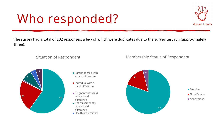### Who responded?



The survey had a total of 102 responses, a few of which were duplicates due to the survey test run (approximately three).

#### Situation of Respondent



- **Parent of child with** a hand difference
- $\blacksquare$  Individual with a hand difference
- Pregnant with child with a hand difference
- Knows somebody with a hand difference
- Health professional



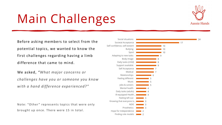## Main Challenges



Before asking members to select from the potential topics, we wanted to know the first challenges regarding having a limb difference that came to mind.

We asked, *"What major concerns or challenges have you or someone you know with a hand difference experienced?"*

Note: "Other" represents topics that were only brought up once. There were 15 in total.

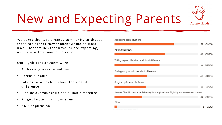

### New and Expecting Parents

We asked the Aussie Hands community to choose three topics that they thought would be most useful for families that have (or are expecting) and baby with a hand difference.

#### **Our significant answers were:**

- Addressing social situations
- Parent support
- Talking to your child about their hand difference
- Finding out your child has a limb difference
- Surgical options and decisions
- NDIS application

#### Addressing social situations 72 (70.6%) Parenting support 62 (60.8%) Talking to your child about their hand difference 55 (53.9%) Finding out your child has a limb difference 40 (39.2%) Surgical options and decisions 38 (37.3%) National Disability Insurance Scheme (NDIS) application - Eligibility and assessment process 34  $(33.3%)$ Other (2.9%) з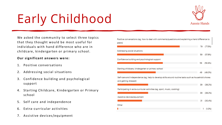## Early Childhood



We asked the community to select three topics that they thought would be most useful for individuals with hand difference who are in childcare, kindergarten or primary school.

#### **Our significant answers were:**

- 1. Positive conversations
- 2. Addressing social situations
- 3. Confidence building and psychological support
- 4. Starting Childcare, Kindergarten or Primary school
- 5. Self care and independence
- 6. Extra-curricular activities
- 7. Assistive devices/equipment

| Positive conversations (eg, how to deal with comments/questions and explaining a hand difference to<br>peers)                |    |           |  |
|------------------------------------------------------------------------------------------------------------------------------|----|-----------|--|
|                                                                                                                              | 79 | (77.5%)   |  |
| Addressing social situations                                                                                                 |    |           |  |
|                                                                                                                              | 59 | (57.8%)   |  |
| Confidence building and psychological support                                                                                |    |           |  |
|                                                                                                                              | 58 | (56.9%)   |  |
|                                                                                                                              |    |           |  |
| Starting childcare, kindergarten or primary school                                                                           |    |           |  |
|                                                                                                                              | 49 | (48.0%)   |  |
| Self-care and independence (eg, help to develop skills around routine tasks such as household chores<br>and getting dressed) |    |           |  |
|                                                                                                                              | 39 | (38.2%)   |  |
| Participating in extra-curricular activities (eg, sport, music, cooking)                                                     |    |           |  |
|                                                                                                                              | 39 | (38.2%)   |  |
| Assistive devices/equipment                                                                                                  |    |           |  |
|                                                                                                                              | 31 | (30.4%)   |  |
| Other                                                                                                                        |    |           |  |
|                                                                                                                              |    | $(1.0\%)$ |  |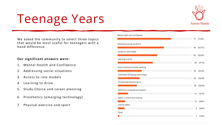

### Teenage Years

We asked the community to select three topics that would be most useful for teenagers with a hand difference.

#### **Our significant answers were:**

- 1. Mental Health and Confidence
- 2. Addressing social situations
- 3. Access to role models
- 4. Learning to drive
- 5. Study Choice and career planning
- 6. Prosthetics (emerging technology)
- 7. Physical exercise and sport

#### Mental health and confidence 74 (72.5%) Addressing social situations 64  $(62.7%)$ Access to role models 55 (53.9%) Learning to drive 48 (47.1%) Study choice and career planning 33 (32.4%) Prosthetics (emerging technology) 30 (29.4%) Physical exercise and sport 26 (25.5%) Parenting workshops and support 14 (13.7%) Health, nutrition and cooking 10  $(9.8\%)$ Internet safety  $9(8.8\%)$ Other  $2(2.0\%)$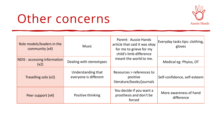#### Other concerns



| Role models/leaders in the<br>community (x4) | <b>Music</b>                                | Parent: Aussie Hands<br>article that said it was okay<br>for me to grieve for my<br>child's limb difference | Everyday tasks tips: clothing,<br>gloves |
|----------------------------------------------|---------------------------------------------|-------------------------------------------------------------------------------------------------------------|------------------------------------------|
| NDIS - accessing information<br>(x2)         | Dealing with stereotypes                    | meant the world to me.                                                                                      | Medical eg: Phyiso, OT                   |
| Travelling solo (x2)                         | Understanding that<br>everyone is different | Resources > references to<br>positive<br>literature/books/journals                                          | Self-confidence, self-esteem             |
| Peer support (x4)                            | Positive thinking                           | You decide if you want a<br>prosthesis and don't be<br>forced                                               | More awareness of hand<br>difference     |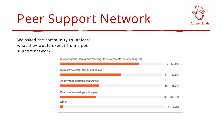

### Peer Support Network

We asked the community to indicate what they would expect from a peer support network.

Support groups (eg, group meetings for new parents, or for teenagers)

|                                       | 79 | (77.5%) |
|---------------------------------------|----|---------|
| Support via email, text or phone call |    |         |
|                                       | 61 | (59.8%) |
| Anonymous question and answer         |    |         |
|                                       | 39 | (38.2%) |
| One on one meetings with a peer       |    |         |
|                                       | 36 | (35.3%) |
| Other                                 |    |         |
|                                       | з  | (2.9%)  |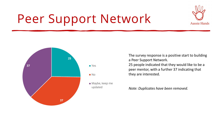# **Aussie Hands**

### Peer Support Network



The survey response is a positive start to building a Peer Support Network. 25 people indicated that they would like to be a peer mentor, with a further 37 indicating that they are interested.

*Note: Duplicates have been removed.*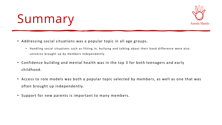

#### Summary

- Addressing social situations was a popular topic in all age groups.
	- Handling social situations such as fitting in, bullying and talking about their hand difference were also concerns brought up by members independently.
- Confidence building and mental health was in the top 3 for both teenagers and early childhood.
- Access to role models was both a popular topic selected by members, as well as one that was often brought up independently.
- Support for new parents is important to many members.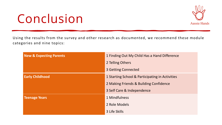#### Conclusion



Using the results from the survey and other research as documented, we recommend these module categories and nine topics:

| <b>New &amp; Expecting Parents</b> | 1 Finding Out My Child Has a Hand Difference    |
|------------------------------------|-------------------------------------------------|
|                                    | 2 Telling Others                                |
|                                    | <b>3 Getting Connected</b>                      |
| <b>Early Childhood</b>             | 1 Starting School & Participating in Activities |
|                                    | 2 Making Friends & Building Confidence          |
|                                    | 3 Self Care & Independence                      |
| <b>Teenage Years</b>               | 1 Mindfulness                                   |
|                                    | 2 Role Models                                   |
|                                    | 3 Life Skills                                   |